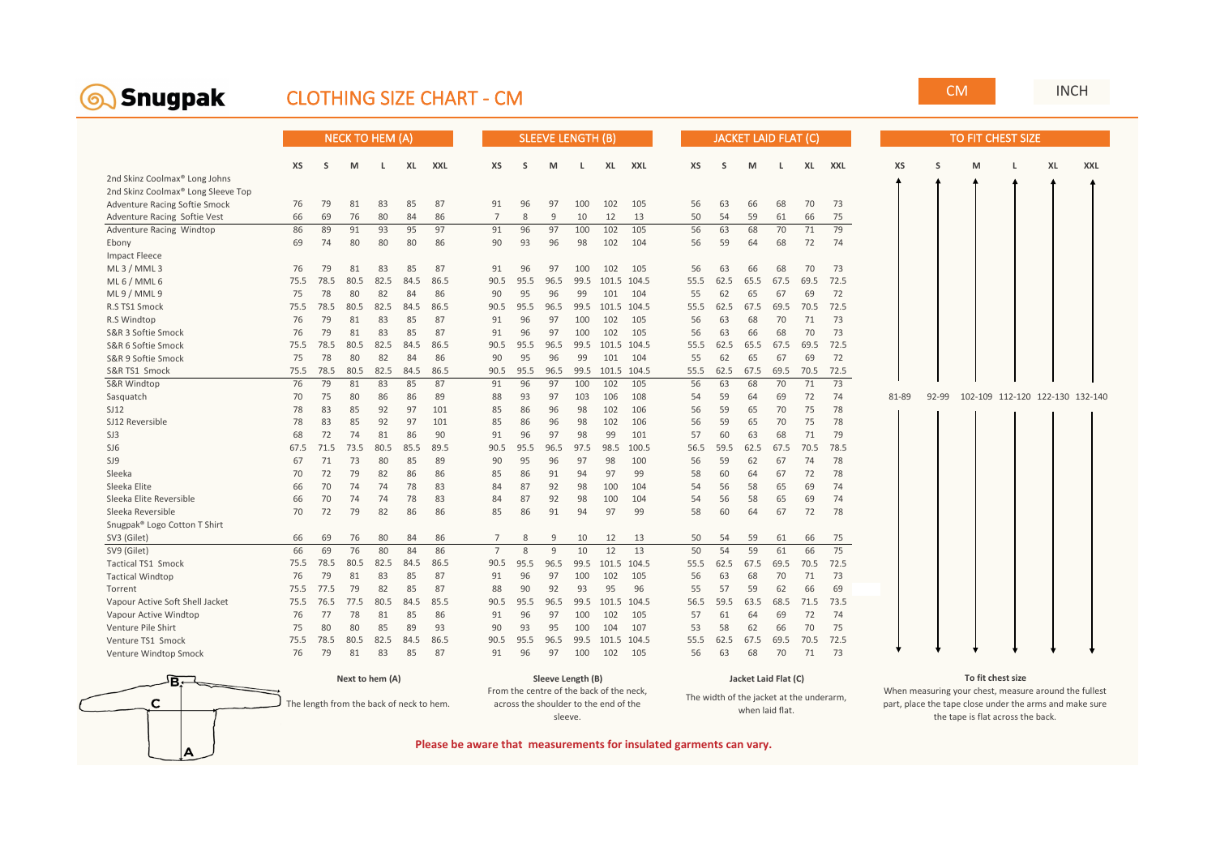<span id="page-0-0"></span>

## CLOTHING SIZE CHART - CM CM

|                                           |      | <b>NECK TO HEM (A)</b> |      |      |      |      |                | <b>SLEEVE LENGTH (B)</b> |              |      |       |       |  | <b>JACKET LAID FLAT (C)</b> |      |      |      |      |      |  |       | TO FIT CHEST SIZE |   |                                 |  |    |            |  |  |
|-------------------------------------------|------|------------------------|------|------|------|------|----------------|--------------------------|--------------|------|-------|-------|--|-----------------------------|------|------|------|------|------|--|-------|-------------------|---|---------------------------------|--|----|------------|--|--|
|                                           | XS   | S                      | M    | L.   | XL   | XXL  | <b>XS</b>      | S                        | м            | L    | XL    | XXL   |  | XS                          | S    | M    | L.   | XL   | XXL  |  | XS    | S                 | M |                                 |  | XL | <b>XXL</b> |  |  |
| 2nd Skinz Coolmax <sup>®</sup> Long Johns |      |                        |      |      |      |      |                |                          |              |      |       |       |  |                             |      |      |      |      |      |  |       |                   |   |                                 |  |    |            |  |  |
| 2nd Skinz Coolmax® Long Sleeve Top        |      |                        |      |      |      |      |                |                          |              |      |       |       |  |                             |      |      |      |      |      |  |       |                   |   |                                 |  |    |            |  |  |
| Adventure Racing Softie Smock             | 76   | 79                     | 81   | 83   | 85   | 87   | 91             | 96                       | 97           | 100  | 102   | 105   |  | 56                          | 63   | 66   | 68   | 70   | 73   |  |       |                   |   |                                 |  |    |            |  |  |
| Adventure Racing Softie Vest              | 66   | 69                     | 76   | 80   | 84   | 86   | $\overline{7}$ | 8                        | 9            | 10   | 12    | 13    |  | 50                          | 54   | 59   | 61   | 66   | 75   |  |       |                   |   |                                 |  |    |            |  |  |
| Adventure Racing Windtop                  | 86   | 89                     | 91   | 93   | 95   | 97   | 91             | 96                       | 97           | 100  | 102   | 105   |  | 56                          | 63   | 68   | 70   | 71   | 79   |  |       |                   |   |                                 |  |    |            |  |  |
| Ebony                                     | 69   | 74                     | 80   | 80   | 80   | 86   | 90             | 93                       | 96           | 98   | 102   | 104   |  | 56                          | 59   | 64   | 68   | 72   | 74   |  |       |                   |   |                                 |  |    |            |  |  |
| <b>Impact Fleece</b>                      |      |                        |      |      |      |      |                |                          |              |      |       |       |  |                             |      |      |      |      |      |  |       |                   |   |                                 |  |    |            |  |  |
| ML3/MML3                                  | 76   | 79                     | 81   | 83   | 85   | 87   | 91             | 96                       | 97           | 100  | 102   | 105   |  | 56                          | 63   | 66   | 68   | 70   | 73   |  |       |                   |   |                                 |  |    |            |  |  |
| ML 6 / MML 6                              | 75.5 | 78.5                   | 80.5 | 82.5 | 84.5 | 86.5 | 90.5           | 95.5                     | 96.5         | 99.5 | 101.5 | 104.5 |  | 55.5                        | 62.5 | 65.5 | 67.5 | 69.5 | 72.5 |  |       |                   |   |                                 |  |    |            |  |  |
| $ML 9$ / MML 9                            | 75   | 78                     | 80   | 82   | 84   | 86   | 90             | 95                       | 96           | 99   | 101   | 104   |  | 55                          | 62   | 65   | 67   | 69   | 72   |  |       |                   |   |                                 |  |    |            |  |  |
| R.S TS1 Smock                             | 75.5 | 78.5                   | 80.5 | 82.5 | 84.5 | 86.5 | 90.5           | 95.5                     | 96.5         | 99.5 | 101.5 | 104.5 |  | 55.5                        | 62.5 | 67.5 | 69.5 | 70.5 | 72.5 |  |       |                   |   |                                 |  |    |            |  |  |
| R.S Windtop                               | 76   | 79                     | 81   | 83   | 85   | 87   | 91             | 96                       | 97           | 100  | 102   | 105   |  | 56                          | 63   | 68   | 70   | 71   | 73   |  |       |                   |   |                                 |  |    |            |  |  |
| S&R 3 Softie Smock                        | 76   | 79                     | 81   | 83   | 85   | 87   | 91             | 96                       | 97           | 100  | 102   | 105   |  | 56                          | 63   | 66   | 68   | 70   | 73   |  |       |                   |   |                                 |  |    |            |  |  |
| S&R 6 Softie Smock                        | 75.5 | 78.5                   | 80.5 | 82.5 | 84.5 | 86.5 | 90.5           | 95.5                     | 96.5         | 99.5 | 101.5 | 104.5 |  | 55.5                        | 62.5 | 65.5 | 67.5 | 69.5 | 72.5 |  |       |                   |   |                                 |  |    |            |  |  |
| S&R 9 Softie Smock                        | 75   | 78                     | 80   | 82   | 84   | 86   | 90             | 95                       | 96           | 99   | 101   | 104   |  | 55                          | 62   | 65   | 67   | 69   | 72   |  |       |                   |   |                                 |  |    |            |  |  |
| S&R TS1 Smock                             | 75.5 | 78.5                   | 80.5 | 82.5 | 84.5 | 86.5 | 90.5           | 95.5                     | 96.5         | 99.5 | 101.5 | 104.5 |  | 55.5                        | 62.5 | 67.5 | 69.5 | 70.5 | 72.5 |  |       |                   |   |                                 |  |    |            |  |  |
| <b>S&amp;R Windtop</b>                    | 76   | 79                     | 81   | 83   | 85   | 87   | 91             | 96                       | 97           | 100  | 102   | 105   |  | 56                          | 63   | 68   | 70   | 71   | 73   |  |       |                   |   |                                 |  |    |            |  |  |
| Sasquatch                                 | 70   | 75                     | 80   | 86   | 86   | 89   | 88             | 93                       | 97           | 103  | 106   | 108   |  | 54                          | 59   | 64   | 69   | 72   | 74   |  | 81-89 | $92 - 99$         |   | 102-109 112-120 122-130 132-140 |  |    |            |  |  |
| SJ12                                      | 78   | 83                     | 85   | 92   | 97   | 101  | 85             | 86                       | 96           | 98   | 102   | 106   |  | 56                          | 59   | 65   | 70   | 75   | 78   |  |       |                   |   |                                 |  |    |            |  |  |
| SJ12 Reversible                           | 78   | 83                     | 85   | 92   | 97   | 101  | 85             | 86                       | 96           | 98   | 102   | 106   |  | 56                          | 59   | 65   | 70   | 75   | 78   |  |       |                   |   |                                 |  |    |            |  |  |
| SJ3                                       | 68   | 72                     | 74   | 81   | 86   | 90   | 91             | 96                       | 97           | 98   | 99    | 101   |  | 57                          | 60   | 63   | 68   | 71   | 79   |  |       |                   |   |                                 |  |    |            |  |  |
| SJ <sub>6</sub>                           | 67.5 | 71.5                   | 73.5 | 80.5 | 85.5 | 89.5 | 90.5           | 95.5                     | 96.5         | 97.5 | 98.5  | 100.5 |  | 56.5                        | 59.5 | 62.5 | 67.5 | 70.5 | 78.5 |  |       |                   |   |                                 |  |    |            |  |  |
| SJ9                                       | 67   | 71                     | 73   | 80   | 85   | 89   | 90             | 95                       | 96           | 97   | 98    | 100   |  | 56                          | 59   | 62   | 67   | 74   | 78   |  |       |                   |   |                                 |  |    |            |  |  |
| Sleeka                                    | 70   | 72                     | 79   | 82   | 86   | 86   | 85             | 86                       | 91           | 94   | 97    | 99    |  | 58                          | 60   | 64   | 67   | 72   | 78   |  |       |                   |   |                                 |  |    |            |  |  |
| Sleeka Elite                              | 66   | 70                     | 74   | 74   | 78   | 83   | 84             | 87                       | 92           | 98   | 100   | 104   |  | 54                          | 56   | 58   | 65   | 69   | 74   |  |       |                   |   |                                 |  |    |            |  |  |
| Sleeka Elite Reversible                   | 66   | 70                     | 74   | 74   | 78   | 83   | 84             | 87                       | 92           | 98   | 100   | 104   |  | 54                          | 56   | 58   | 65   | 69   | 74   |  |       |                   |   |                                 |  |    |            |  |  |
| Sleeka Reversible                         | 70   | 72                     | 79   | 82   | 86   | 86   | 85             | 86                       | 91           | 94   | 97    | 99    |  | 58                          | 60   | 64   | 67   | 72   | 78   |  |       |                   |   |                                 |  |    |            |  |  |
| Snugpak® Logo Cotton T Shirt              |      |                        |      |      |      |      |                |                          |              |      |       |       |  |                             |      |      |      |      |      |  |       |                   |   |                                 |  |    |            |  |  |
| SV3 (Gilet)                               | 66   | 69                     | 76   | 80   | 84   | 86   | $\overline{7}$ | 8                        | 9            | 10   | 12    | 13    |  | 50                          | 54   | 59   | 61   | 66   | 75   |  |       |                   |   |                                 |  |    |            |  |  |
| SV9 (Gilet)                               | 66   | 69                     | 76   | 80   | 84   | 86   | $\overline{7}$ | $\mathbf{R}$             | $\mathsf{q}$ | 10   | 12    | 13    |  | 50                          | 54   | 59   | 61   | 66   | 75   |  |       |                   |   |                                 |  |    |            |  |  |
| <b>Tactical TS1 Smock</b>                 | 75.5 | 78.5                   | 80.5 | 82.5 | 84.5 | 86.5 | 90.5           | 95.5                     | 96.5         | 99.5 | 101.5 | 104.5 |  | 55.5                        | 62.5 | 67.5 | 69.5 | 70.5 | 72.5 |  |       |                   |   |                                 |  |    |            |  |  |
| <b>Tactical Windtop</b>                   | 76   | 79                     | 81   | 83   | 85   | 87   | 91             | 96                       | 97           | 100  | 102   | 105   |  | 56                          | 63   | 68   | 70   | 71   | 73   |  |       |                   |   |                                 |  |    |            |  |  |
| Torrent                                   | 75.5 | 77.5                   | 79   | 82   | 85   | 87   | 88             | 90                       | 92           | 93   | 95    | 96    |  | 55                          | 57   | 59   | 62   | 66   | 69   |  |       |                   |   |                                 |  |    |            |  |  |
| Vapour Active Soft Shell Jacket           | 75.5 | 76.5                   | 77.5 | 80.5 | 84.5 | 85.5 | 90.5           | 95.5                     | 96.5         | 99.5 | 101.5 | 104.5 |  | 56.5                        | 59.5 | 63.5 | 68.5 | 71.5 | 73.5 |  |       |                   |   |                                 |  |    |            |  |  |
| Vapour Active Windtop                     | 76   | 77                     | 78   | 81   | 85   | 86   | 91             | 96                       | 97           | 100  | 102   | 105   |  | 57                          | 61   | 64   | 69   | 72   | 74   |  |       |                   |   |                                 |  |    |            |  |  |
| Venture Pile Shirt                        | 75   | 80                     | 80   | 85   | 89   | 93   | 90             | 93                       | 95           | 100  | 104   | 107   |  | 53                          | 58   | 62   | 66   | 70   | 75   |  |       |                   |   |                                 |  |    |            |  |  |
| Venture TS1 Smock                         | 75.5 | 78.5                   | 80.5 | 82.5 | 84.5 | 86.5 | 90.5           | 95.5                     | 96.5         | 99.5 | 101.5 | 104.5 |  | 55.5                        | 62.5 | 67.5 | 69.5 | 70.5 | 72.5 |  |       |                   |   |                                 |  |    |            |  |  |
| Venture Windtop Smock                     | 76   | 79                     | 81   | 83   | 85   | 87   | 91             | 96                       | 97           | 100  | 102   | 105   |  | 56                          | 63   | 68   | 70   | 71   | 73   |  |       |                   |   |                                 |  |    |            |  |  |



[INCH](#page-1-0)